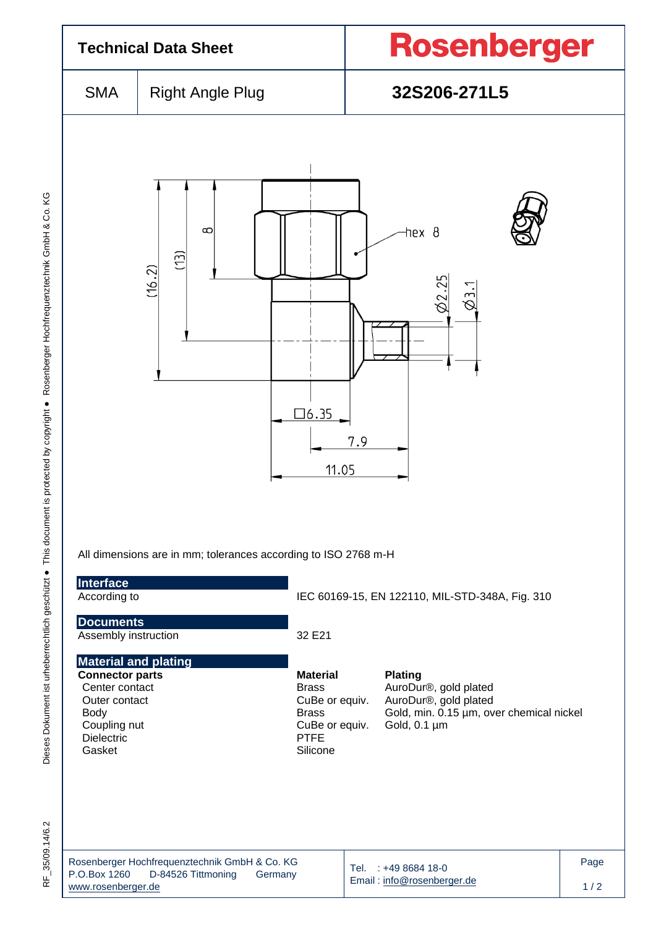| <b>Technical Data Sheet</b>                                                                                                                            |                                                                                |                                                                                                                | <b>Rosenberger</b>                                                                                                           |             |  |  |  |
|--------------------------------------------------------------------------------------------------------------------------------------------------------|--------------------------------------------------------------------------------|----------------------------------------------------------------------------------------------------------------|------------------------------------------------------------------------------------------------------------------------------|-------------|--|--|--|
| <b>SMA</b>                                                                                                                                             | <b>Right Angle Plug</b>                                                        |                                                                                                                | 32S206-271L5                                                                                                                 |             |  |  |  |
| hex 8<br>$\infty$<br>Ē<br>(16.2)<br>02.25<br>$\varnothing$ 3.1<br>$\Box 6.35$<br>7.9<br>11.05                                                          |                                                                                |                                                                                                                |                                                                                                                              |             |  |  |  |
| Interface<br>According to                                                                                                                              | All dimensions are in mm; tolerances according to ISO 2768 m-H                 |                                                                                                                |                                                                                                                              |             |  |  |  |
| <b>Documents</b><br>Assembly instruction                                                                                                               |                                                                                | IEC 60169-15, EN 122110, MIL-STD-348A, Fig. 310<br>32 E21                                                      |                                                                                                                              |             |  |  |  |
| <b>Material and plating</b><br><b>Connector parts</b><br>Center contact<br>Outer contact<br><b>Body</b><br>Coupling nut<br><b>Dielectric</b><br>Gasket |                                                                                | <b>Material</b><br><b>Brass</b><br>CuBe or equiv.<br><b>Brass</b><br>CuBe or equiv.<br><b>PTFE</b><br>Silicone | <b>Plating</b><br>AuroDur®, gold plated<br>AuroDur®, gold plated<br>Gold, min. 0.15 µm, over chemical nickel<br>Gold, 0.1 µm |             |  |  |  |
| P.O.Box 1260<br>www.rosenberger.de                                                                                                                     | Rosenberger Hochfrequenztechnik GmbH & Co. KG<br>D-84526 Tittmoning<br>Germany |                                                                                                                | Tel. : +49 8684 18-0<br>Email: info@rosenberger.de                                                                           | Page<br>1/2 |  |  |  |

RF\_35/09.14/6.2